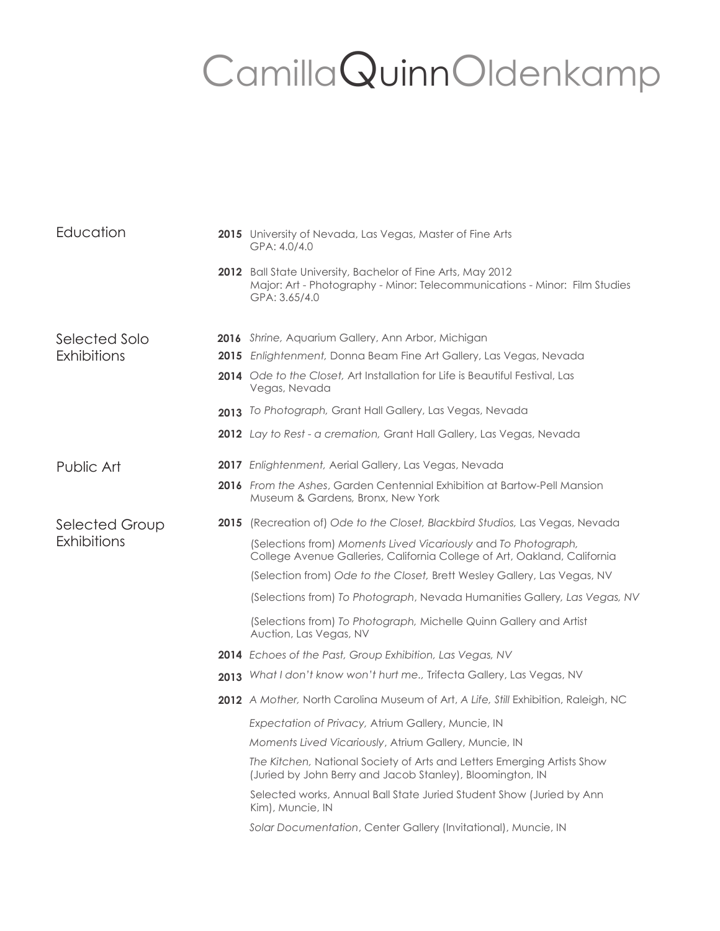## CamillaQuinnOldenkamp

| Education                            | <b>2015</b> University of Nevada, Las Vegas, Master of Fine Arts<br>GPA: 4.0/4.0                                                                           |
|--------------------------------------|------------------------------------------------------------------------------------------------------------------------------------------------------------|
|                                      | 2012 Ball State University, Bachelor of Fine Arts, May 2012<br>Major: Art - Photography - Minor: Telecommunications - Minor: Film Studies<br>GPA: 3.65/4.0 |
| Selected Solo<br>Exhibitions         | 2016 Shrine, Aquarium Gallery, Ann Arbor, Michigan                                                                                                         |
|                                      | 2015 Enlightenment, Donna Beam Fine Art Gallery, Las Vegas, Nevada                                                                                         |
|                                      | <b>2014</b> Ode to the Closet, Art Installation for Life is Beautiful Festival, Las<br>Vegas, Nevada                                                       |
|                                      | 2013 To Photograph, Grant Hall Gallery, Las Vegas, Nevada                                                                                                  |
|                                      | 2012 Lay to Rest - a cremation, Grant Hall Gallery, Las Vegas, Nevada                                                                                      |
| Public Art                           | 2017 Enlightenment, Aerial Gallery, Las Vegas, Nevada                                                                                                      |
|                                      | <b>2016</b> From the Ashes, Garden Centennial Exhibition at Bartow-Pell Mansion<br>Museum & Gardens, Bronx, New York                                       |
| <b>Selected Group</b><br>Exhibitions | <b>2015</b> (Recreation of) Ode to the Closet, Blackbird Studios, Las Vegas, Nevada                                                                        |
|                                      | (Selections from) Moments Lived Vicariously and To Photograph,<br>College Avenue Galleries, California College of Art, Oakland, California                 |
|                                      | (Selection from) Ode to the Closet, Brett Wesley Gallery, Las Vegas, NV                                                                                    |
|                                      | (Selections from) To Photograph, Nevada Humanities Gallery, Las Vegas, NV                                                                                  |
|                                      | (Selections from) To Photograph, Michelle Quinn Gallery and Artist<br>Auction, Las Vegas, NV                                                               |
|                                      | 2014 Echoes of the Past, Group Exhibition, Las Vegas, NV                                                                                                   |
|                                      | 2013 What I don't know won't hurt me., Trifecta Gallery, Las Vegas, NV                                                                                     |
|                                      | <b>2012</b> A Mother, North Carolina Museum of Art, A Life, Still Exhibition, Raleigh, NC                                                                  |
|                                      | Expectation of Privacy, Atrium Gallery, Muncie, IN                                                                                                         |
|                                      | Moments Lived Vicariously, Atrium Gallery, Muncie, IN                                                                                                      |
|                                      | The Kitchen, National Society of Arts and Letters Emerging Artists Show<br>(Juried by John Berry and Jacob Stanley), Bloomington, IN                       |
|                                      | Selected works, Annual Ball State Juried Student Show (Juried by Ann<br>Kim), Muncie, IN                                                                   |
|                                      | Solar Documentation, Center Gallery (Invitational), Muncie, IN                                                                                             |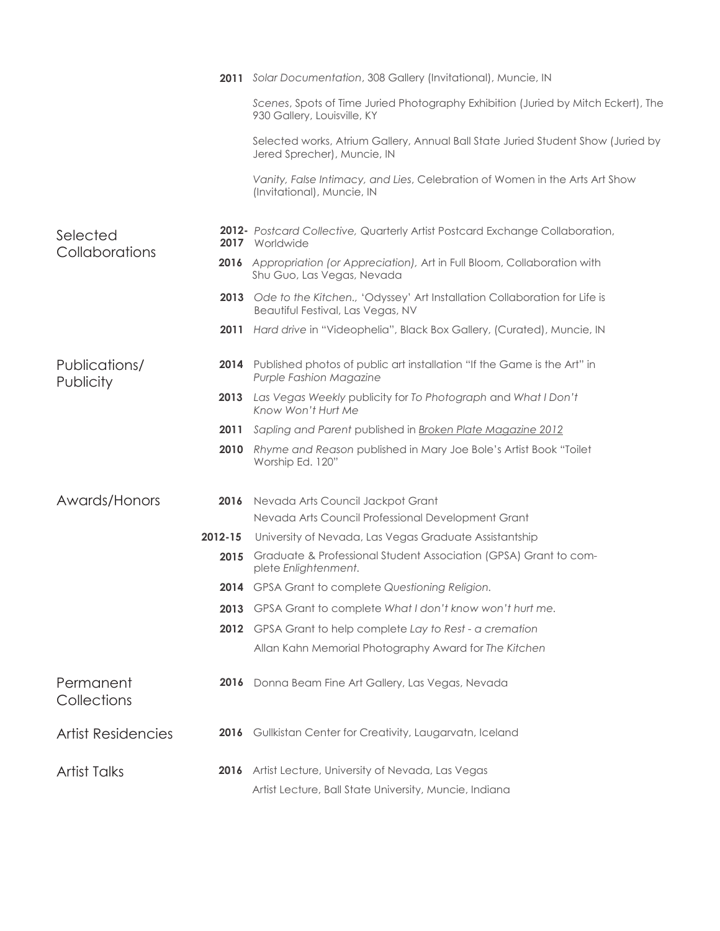|                            |         | 2011 Solar Documentation, 308 Gallery (Invitational), Muncie, IN                                                    |
|----------------------------|---------|---------------------------------------------------------------------------------------------------------------------|
|                            |         | Scenes, Spots of Time Juried Photography Exhibition (Juried by Mitch Eckert), The<br>930 Gallery, Louisville, KY    |
|                            |         | Selected works, Atrium Gallery, Annual Ball State Juried Student Show (Juried by<br>Jered Sprecher), Muncie, IN     |
|                            |         | Vanity, False Intimacy, and Lies, Celebration of Women in the Arts Art Show<br>(Invitational), Muncie, IN           |
| Selected<br>Collaborations |         | 2012- Postcard Collective, Quarterly Artist Postcard Exchange Collaboration,<br>2017 Worldwide                      |
|                            |         | 2016 Appropriation (or Appreciation), Art in Full Bloom, Collaboration with<br>Shu Guo, Las Vegas, Nevada           |
|                            |         | 2013 Ode to the Kitchen., 'Odyssey' Art Installation Collaboration for Life is<br>Beautiful Festival, Las Vegas, NV |
|                            |         | 2011 Hard drive in "Videophelia", Black Box Gallery, (Curated), Muncie, IN                                          |
| Publications/<br>Publicity |         | 2014 Published photos of public art installation "If the Game is the Art" in<br><b>Purple Fashion Magazine</b>      |
|                            | 2013    | Las Vegas Weekly publicity for To Photograph and What I Don't<br>Know Won't Hurt Me                                 |
|                            | 2011    | Sapling and Parent published in Broken Plate Magazine 2012                                                          |
|                            | 2010    | Rhyme and Reason published in Mary Joe Bole's Artist Book "Toilet<br>Worship Ed. 120"                               |
| Awards/Honors              | 2016    | Nevada Arts Council Jackpot Grant                                                                                   |
|                            |         | Nevada Arts Council Professional Development Grant                                                                  |
|                            | 2012-15 | University of Nevada, Las Vegas Graduate Assistantship                                                              |
|                            | 2015    | Graduate & Professional Student Association (GPSA) Grant to com-<br>plete Enlightenment.                            |
|                            |         | 2014 GPSA Grant to complete Questioning Religion.                                                                   |
|                            | 2013    | GPSA Grant to complete What I don't know won't hurt me.                                                             |
|                            | 2012    | GPSA Grant to help complete Lay to Rest - a cremation                                                               |
|                            |         | Allan Kahn Memorial Photography Award for The Kitchen                                                               |
| Permanent<br>Collections   |         | 2016 Donna Beam Fine Art Gallery, Las Vegas, Nevada                                                                 |
| <b>Artist Residencies</b>  |         | 2016 Gullkistan Center for Creativity, Laugarvatn, Iceland                                                          |
| <b>Artist Talks</b>        | 2016    | Artist Lecture, University of Nevada, Las Vegas                                                                     |
|                            |         | Artist Lecture, Ball State University, Muncie, Indiana                                                              |